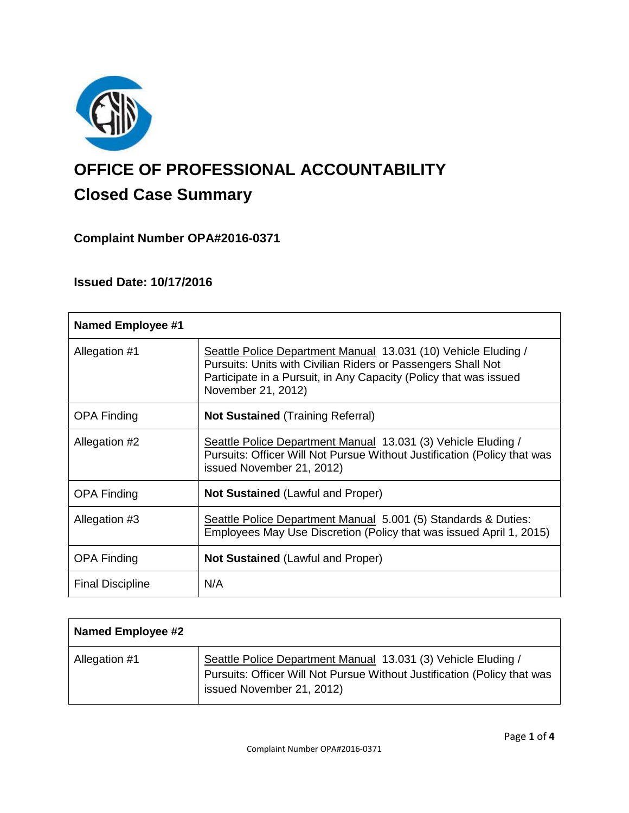

# **OFFICE OF PROFESSIONAL ACCOUNTABILITY Closed Case Summary**

# **Complaint Number OPA#2016-0371**

# **Issued Date: 10/17/2016**

| <b>Named Employee #1</b> |                                                                                                                                                                                                                           |
|--------------------------|---------------------------------------------------------------------------------------------------------------------------------------------------------------------------------------------------------------------------|
| Allegation #1            | Seattle Police Department Manual 13.031 (10) Vehicle Eluding /<br>Pursuits: Units with Civilian Riders or Passengers Shall Not<br>Participate in a Pursuit, in Any Capacity (Policy that was issued<br>November 21, 2012) |
| <b>OPA Finding</b>       | <b>Not Sustained (Training Referral)</b>                                                                                                                                                                                  |
| Allegation #2            | Seattle Police Department Manual 13.031 (3) Vehicle Eluding /<br>Pursuits: Officer Will Not Pursue Without Justification (Policy that was<br>issued November 21, 2012)                                                    |
| <b>OPA Finding</b>       | <b>Not Sustained (Lawful and Proper)</b>                                                                                                                                                                                  |
| Allegation #3            | Seattle Police Department Manual 5.001 (5) Standards & Duties:<br>Employees May Use Discretion (Policy that was issued April 1, 2015)                                                                                     |
| <b>OPA Finding</b>       | <b>Not Sustained (Lawful and Proper)</b>                                                                                                                                                                                  |
| <b>Final Discipline</b>  | N/A                                                                                                                                                                                                                       |

| Named Employee #2 |                                                                                                                                                                        |
|-------------------|------------------------------------------------------------------------------------------------------------------------------------------------------------------------|
| Allegation #1     | Seattle Police Department Manual 13.031 (3) Vehicle Eluding /<br>Pursuits: Officer Will Not Pursue Without Justification (Policy that was<br>issued November 21, 2012) |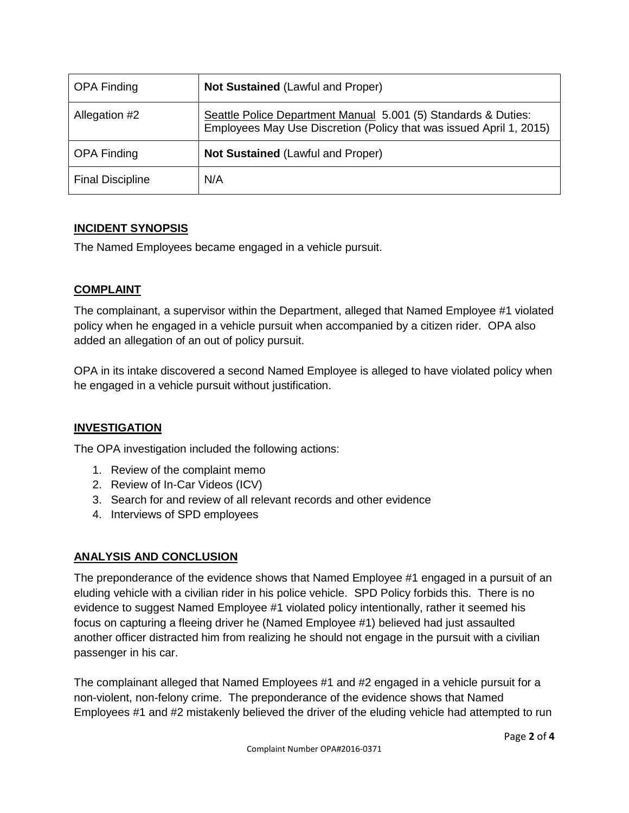| <b>OPA Finding</b>      | <b>Not Sustained (Lawful and Proper)</b>                                                                                              |
|-------------------------|---------------------------------------------------------------------------------------------------------------------------------------|
| Allegation #2           | Seattle Police Department Manual 5.001 (5) Standards & Duties:<br>Employees May Use Discretion (Policy that was issued April 1, 2015) |
| <b>OPA Finding</b>      | <b>Not Sustained (Lawful and Proper)</b>                                                                                              |
| <b>Final Discipline</b> | N/A                                                                                                                                   |

## **INCIDENT SYNOPSIS**

The Named Employees became engaged in a vehicle pursuit.

## **COMPLAINT**

The complainant, a supervisor within the Department, alleged that Named Employee #1 violated policy when he engaged in a vehicle pursuit when accompanied by a citizen rider. OPA also added an allegation of an out of policy pursuit.

OPA in its intake discovered a second Named Employee is alleged to have violated policy when he engaged in a vehicle pursuit without justification.

## **INVESTIGATION**

The OPA investigation included the following actions:

- 1. Review of the complaint memo
- 2. Review of In-Car Videos (ICV)
- 3. Search for and review of all relevant records and other evidence
- 4. Interviews of SPD employees

## **ANALYSIS AND CONCLUSION**

The preponderance of the evidence shows that Named Employee #1 engaged in a pursuit of an eluding vehicle with a civilian rider in his police vehicle. SPD Policy forbids this. There is no evidence to suggest Named Employee #1 violated policy intentionally, rather it seemed his focus on capturing a fleeing driver he (Named Employee #1) believed had just assaulted another officer distracted him from realizing he should not engage in the pursuit with a civilian passenger in his car.

The complainant alleged that Named Employees #1 and #2 engaged in a vehicle pursuit for a non-violent, non-felony crime. The preponderance of the evidence shows that Named Employees #1 and #2 mistakenly believed the driver of the eluding vehicle had attempted to run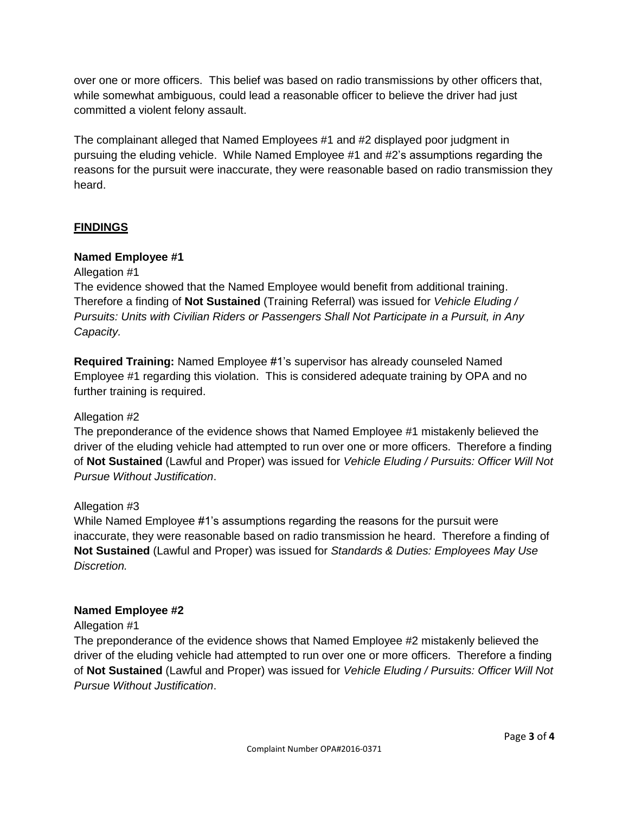over one or more officers. This belief was based on radio transmissions by other officers that, while somewhat ambiguous, could lead a reasonable officer to believe the driver had just committed a violent felony assault.

The complainant alleged that Named Employees #1 and #2 displayed poor judgment in pursuing the eluding vehicle. While Named Employee #1 and #2's assumptions regarding the reasons for the pursuit were inaccurate, they were reasonable based on radio transmission they heard.

## **FINDINGS**

### **Named Employee #1**

Allegation #1

The evidence showed that the Named Employee would benefit from additional training. Therefore a finding of **Not Sustained** (Training Referral) was issued for *Vehicle Eluding / Pursuits: Units with Civilian Riders or Passengers Shall Not Participate in a Pursuit, in Any Capacity.*

**Required Training:** Named Employee #1's supervisor has already counseled Named Employee #1 regarding this violation. This is considered adequate training by OPA and no further training is required.

### Allegation #2

The preponderance of the evidence shows that Named Employee #1 mistakenly believed the driver of the eluding vehicle had attempted to run over one or more officers. Therefore a finding of **Not Sustained** (Lawful and Proper) was issued for *Vehicle Eluding / Pursuits: Officer Will Not Pursue Without Justification*.

### Allegation #3

While Named Employee #1's assumptions regarding the reasons for the pursuit were inaccurate, they were reasonable based on radio transmission he heard. Therefore a finding of **Not Sustained** (Lawful and Proper) was issued for *Standards & Duties: Employees May Use Discretion.*

### **Named Employee #2**

### Allegation #1

The preponderance of the evidence shows that Named Employee #2 mistakenly believed the driver of the eluding vehicle had attempted to run over one or more officers. Therefore a finding of **Not Sustained** (Lawful and Proper) was issued for *Vehicle Eluding / Pursuits: Officer Will Not Pursue Without Justification*.